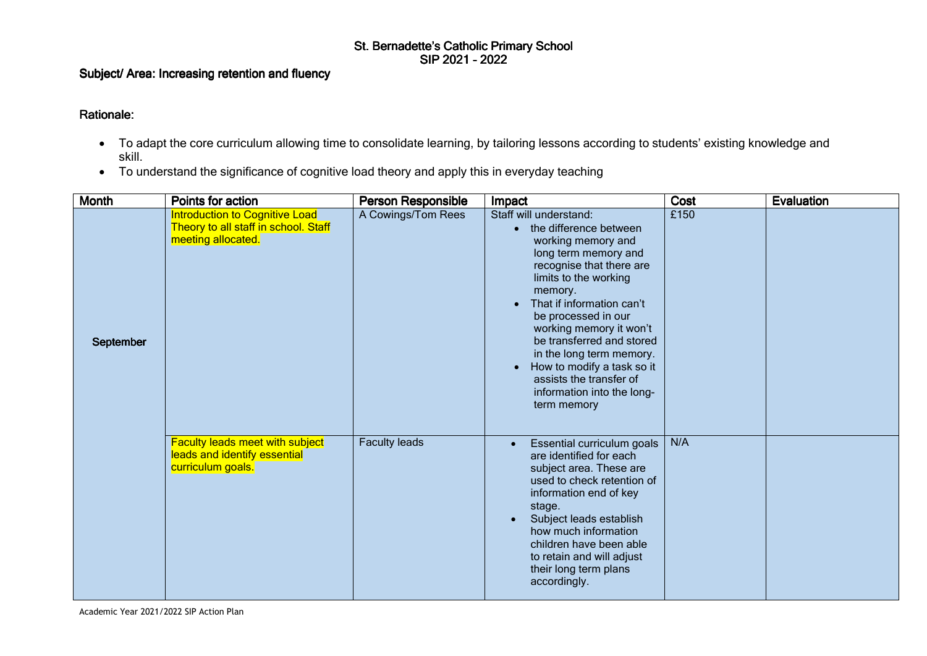## St. Bernadette's Catholic Primary School<br>SIP 2021 - 2022

## Subject/ Area: Increasing retention and fluency

## Rationale:

- To adapt the core curriculum allowing time to consolidate learning, by tailoring lessons according to students' existing knowledge and skill.
- To understand the significance of cognitive load theory and apply this in everyday teaching

| <b>Month</b> | Points for action                                                                            | <b>Person Responsible</b> | Impact                                                                                                                                                                                                                                                                                                                                                                                                       | Cost | Evaluation |
|--------------|----------------------------------------------------------------------------------------------|---------------------------|--------------------------------------------------------------------------------------------------------------------------------------------------------------------------------------------------------------------------------------------------------------------------------------------------------------------------------------------------------------------------------------------------------------|------|------------|
| September    | Introduction to Cognitive Load<br>Theory to all staff in school. Staff<br>meeting allocated. | A Cowings/Tom Rees        | Staff will understand:<br>the difference between<br>working memory and<br>long term memory and<br>recognise that there are<br>limits to the working<br>memory.<br>That if information can't<br>be processed in our<br>working memory it won't<br>be transferred and stored<br>in the long term memory.<br>How to modify a task so it<br>assists the transfer of<br>information into the long-<br>term memory | £150 |            |
|              | <b>Faculty leads meet with subject</b><br>leads and identify essential<br>curriculum goals.  | <b>Faculty leads</b>      | Essential curriculum goals<br>are identified for each<br>subject area. These are<br>used to check retention of<br>information end of key<br>stage.<br>Subject leads establish<br>how much information<br>children have been able<br>to retain and will adjust<br>their long term plans<br>accordingly.                                                                                                       | N/A  |            |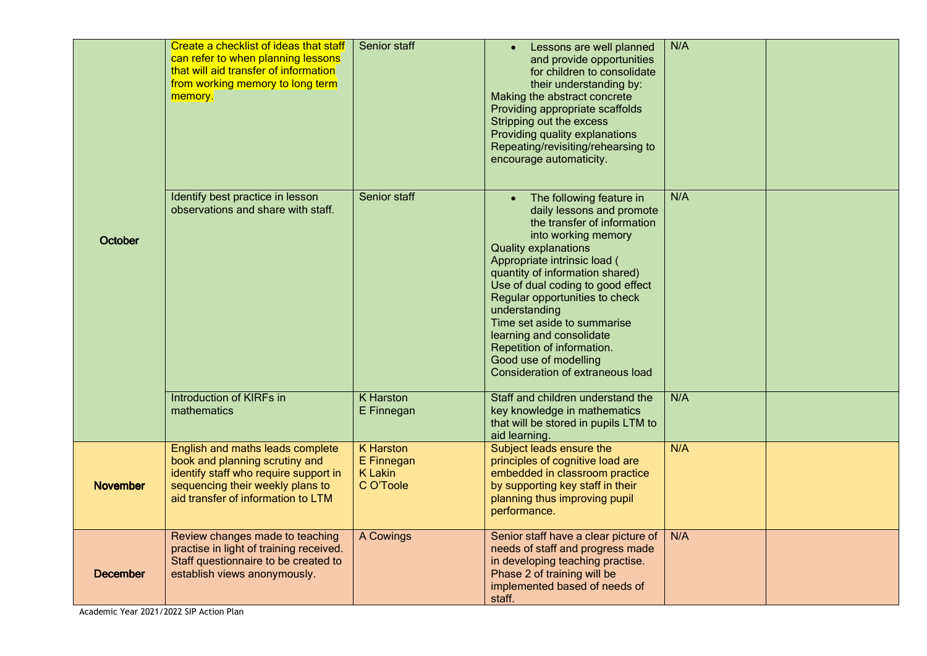| October         | Create a checklist of ideas that staff<br>can refer to when planning lessons<br>that will aid transfer of information<br>from working memory to long term<br>memory.                  | Senior staff                                                  | Lessons are well planned<br>and provide opportunities<br>for children to consolidate<br>their understanding by:<br>Making the abstract concrete<br>Providing appropriate scaffolds<br>Stripping out the excess<br>Providing quality explanations<br>Repeating/revisiting/rehearsing to<br>encourage automaticity.                                                                                                                                           | N/A |  |
|-----------------|---------------------------------------------------------------------------------------------------------------------------------------------------------------------------------------|---------------------------------------------------------------|-------------------------------------------------------------------------------------------------------------------------------------------------------------------------------------------------------------------------------------------------------------------------------------------------------------------------------------------------------------------------------------------------------------------------------------------------------------|-----|--|
|                 | Identify best practice in lesson<br>observations and share with staff.                                                                                                                | Senior staff                                                  | The following feature in<br>daily lessons and promote<br>the transfer of information<br>into working memory<br><b>Quality explanations</b><br>Appropriate intrinsic load (<br>quantity of information shared)<br>Use of dual coding to good effect<br>Regular opportunities to check<br>understanding<br>Time set aside to summarise<br>learning and consolidate<br>Repetition of information.<br>Good use of modelling<br>Consideration of extraneous load | N/A |  |
|                 | Introduction of KIRFs in<br>mathematics                                                                                                                                               | K Harston<br>E Finnegan                                       | Staff and children understand the<br>key knowledge in mathematics<br>that will be stored in pupils LTM to<br>aid learning.                                                                                                                                                                                                                                                                                                                                  | N/A |  |
| <b>November</b> | English and maths leads complete<br>book and planning scrutiny and<br>identify staff who require support in<br>sequencing their weekly plans to<br>aid transfer of information to LTM | <b>K</b> Harston<br>E Finnegan<br><b>K</b> Lakin<br>C O'Toole | Subject leads ensure the<br>principles of cognitive load are<br>embedded in classroom practice<br>by supporting key staff in their<br>planning thus improving pupil<br>performance.                                                                                                                                                                                                                                                                         | N/A |  |
| <b>December</b> | Review changes made to teaching<br>practise in light of training received.<br>Staff questionnaire to be created to<br>establish views anonymously.                                    | A Cowings                                                     | Senior staff have a clear picture of<br>needs of staff and progress made<br>in developing teaching practise.<br>Phase 2 of training will be<br>implemented based of needs of<br>staff.                                                                                                                                                                                                                                                                      | N/A |  |

Academic Year 2021/2022 SIP Action Plan